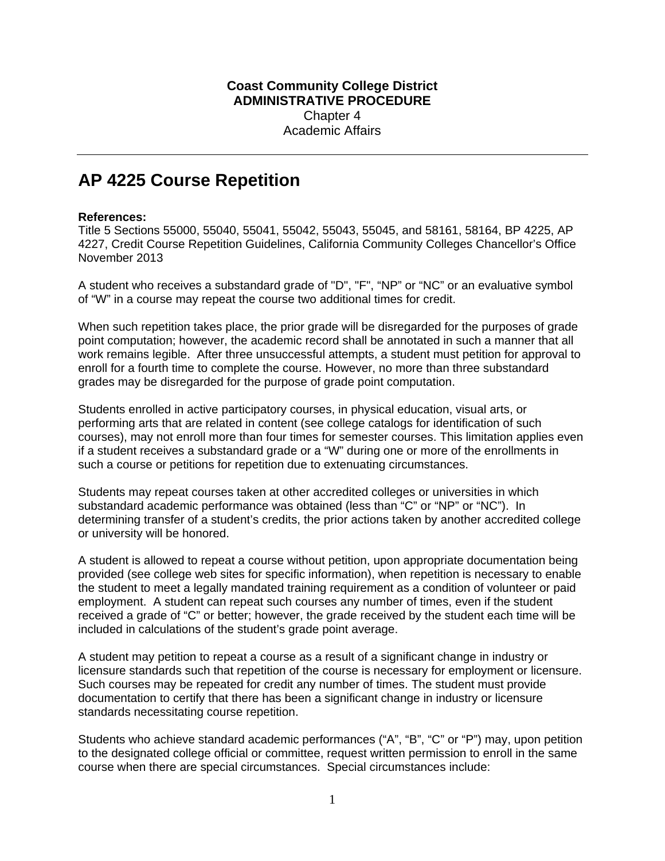## **Coast Community College District ADMINISTRATIVE PROCEDURE** Chapter 4 Academic Affairs

## **AP 4225 Course Repetition**

## **References:**

Title 5 Sections 55000, 55040, 55041, 55042, 55043, 55045, and 58161, 58164, BP 4225, AP 4227, Credit Course Repetition Guidelines, California Community Colleges Chancellor's Office November 2013

A student who receives a substandard grade of "D", "F", "NP" or "NC" or an evaluative symbol of "W" in a course may repeat the course two additional times for credit.

When such repetition takes place, the prior grade will be disregarded for the purposes of grade point computation; however, the academic record shall be annotated in such a manner that all work remains legible. After three unsuccessful attempts, a student must petition for approval to enroll for a fourth time to complete the course. However, no more than three substandard grades may be disregarded for the purpose of grade point computation.

Students enrolled in active participatory courses, in physical education, visual arts, or performing arts that are related in content (see college catalogs for identification of such courses), may not enroll more than four times for semester courses. This limitation applies even if a student receives a substandard grade or a "W" during one or more of the enrollments in such a course or petitions for repetition due to extenuating circumstances.

Students may repeat courses taken at other accredited colleges or universities in which substandard academic performance was obtained (less than "C" or "NP" or "NC"). In determining transfer of a student's credits, the prior actions taken by another accredited college or university will be honored.

A student is allowed to repeat a course without petition, upon appropriate documentation being provided (see college web sites for specific information), when repetition is necessary to enable the student to meet a legally mandated training requirement as a condition of volunteer or paid employment. A student can repeat such courses any number of times, even if the student received a grade of "C" or better; however, the grade received by the student each time will be included in calculations of the student's grade point average.

A student may petition to repeat a course as a result of a significant change in industry or licensure standards such that repetition of the course is necessary for employment or licensure. Such courses may be repeated for credit any number of times. The student must provide documentation to certify that there has been a significant change in industry or licensure standards necessitating course repetition.

Students who achieve standard academic performances ("A", "B", "C" or "P") may, upon petition to the designated college official or committee, request written permission to enroll in the same course when there are special circumstances. Special circumstances include: